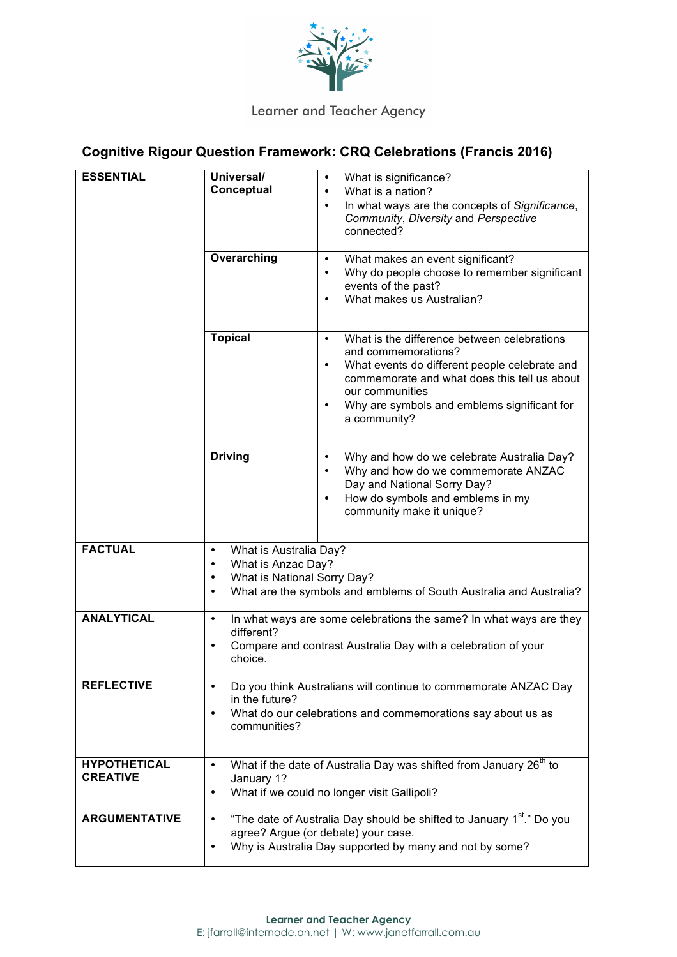

## Learner and Teacher Agency

## **Cognitive Rigour Question Framework: CRQ Celebrations (Francis 2016)**

| <b>ESSENTIAL</b>                       | Universal/<br>Conceptual<br>Overarching                                                                                                                                                               | What is significance?<br>$\bullet$<br>What is a nation?<br>$\bullet$<br>In what ways are the concepts of Significance,<br>$\bullet$<br>Community, Diversity and Perspective<br>connected?<br>What makes an event significant?<br>$\bullet$<br>Why do people choose to remember significant<br>$\bullet$<br>events of the past?<br>What makes us Australian?<br>$\bullet$ |
|----------------------------------------|-------------------------------------------------------------------------------------------------------------------------------------------------------------------------------------------------------|--------------------------------------------------------------------------------------------------------------------------------------------------------------------------------------------------------------------------------------------------------------------------------------------------------------------------------------------------------------------------|
|                                        | <b>Topical</b>                                                                                                                                                                                        | What is the difference between celebrations<br>$\bullet$<br>and commemorations?<br>What events do different people celebrate and<br>$\bullet$<br>commemorate and what does this tell us about<br>our communities<br>Why are symbols and emblems significant for<br>$\bullet$<br>a community?                                                                             |
|                                        | <b>Driving</b>                                                                                                                                                                                        | Why and how do we celebrate Australia Day?<br>$\bullet$<br>Why and how do we commemorate ANZAC<br>$\bullet$<br>Day and National Sorry Day?<br>How do symbols and emblems in my<br>$\bullet$<br>community make it unique?                                                                                                                                                 |
| <b>FACTUAL</b>                         | What is Australia Day?<br>$\bullet$<br>What is Anzac Day?<br>$\bullet$<br>What is National Sorry Day?<br>$\bullet$<br>What are the symbols and emblems of South Australia and Australia?<br>$\bullet$ |                                                                                                                                                                                                                                                                                                                                                                          |
| <b>ANALYTICAL</b>                      | In what ways are some celebrations the same? In what ways are they<br>$\bullet$<br>different?<br>Compare and contrast Australia Day with a celebration of your<br>$\bullet$<br>choice.                |                                                                                                                                                                                                                                                                                                                                                                          |
| <b>REFLECTIVE</b>                      | Do you think Australians will continue to commemorate ANZAC Day<br>in the future?<br>What do our celebrations and commemorations say about us as<br>communities?                                      |                                                                                                                                                                                                                                                                                                                                                                          |
| <b>HYPOTHETICAL</b><br><b>CREATIVE</b> | What if the date of Australia Day was shifted from January 26 <sup>th</sup> to<br>$\bullet$<br>January 1?<br>What if we could no longer visit Gallipoli?<br>$\bullet$                                 |                                                                                                                                                                                                                                                                                                                                                                          |
| <b>ARGUMENTATIVE</b>                   | $\bullet$<br>٠                                                                                                                                                                                        | "The date of Australia Day should be shifted to January 1 <sup>st</sup> ." Do you<br>agree? Argue (or debate) your case.<br>Why is Australia Day supported by many and not by some?                                                                                                                                                                                      |